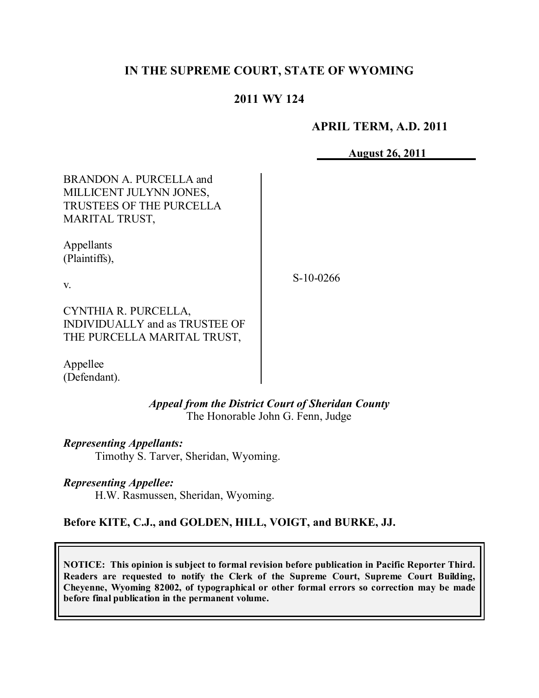# **IN THE SUPREME COURT, STATE OF WYOMING**

# **2011 WY 124**

### **APRIL TERM, A.D. 2011**

**August 26, 2011**

BRANDON A. PURCELLA and MILLICENT JULYNN JONES, TRUSTEES OF THE PURCELLA MARITAL TRUST,

Appellants (Plaintiffs),

v.

S-10-0266

CYNTHIA R. PURCELLA, INDIVIDUALLY and as TRUSTEE OF THE PURCELLA MARITAL TRUST,

Appellee (Defendant).

> *Appeal from the District Court of Sheridan County* The Honorable John G. Fenn, Judge

*Representing Appellants:*

Timothy S. Tarver, Sheridan, Wyoming.

*Representing Appellee:*

H.W. Rasmussen, Sheridan, Wyoming.

**Before KITE, C.J., and GOLDEN, HILL, VOIGT, and BURKE, JJ.**

**NOTICE: This opinion is subject to formal revision before publication in Pacific Reporter Third. Readers are requested to notify the Clerk of the Supreme Court, Supreme Court Building, Cheyenne, Wyoming 82002, of typographical or other formal errors so correction may be made before final publication in the permanent volume.**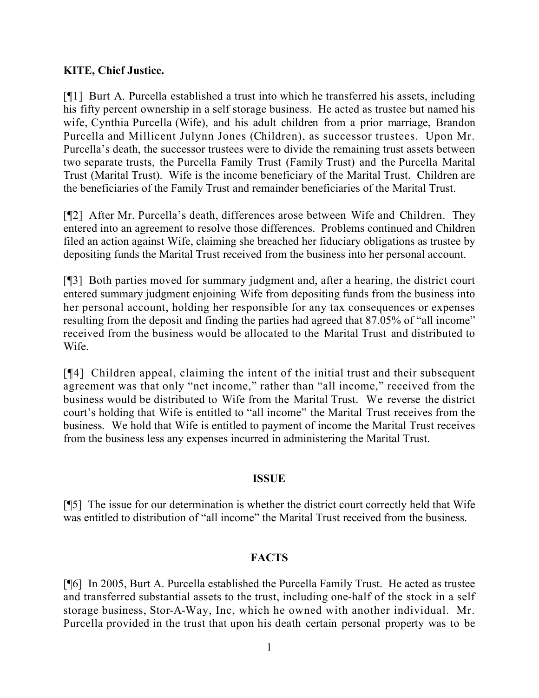# **KITE, Chief Justice.**

[¶1] Burt A. Purcella established a trust into which he transferred his assets, including his fifty percent ownership in a self storage business. He acted as trustee but named his wife, Cynthia Purcella (Wife), and his adult children from a prior marriage, Brandon Purcella and Millicent Julynn Jones (Children), as successor trustees. Upon Mr. Purcella's death, the successor trustees were to divide the remaining trust assets between two separate trusts, the Purcella Family Trust (Family Trust) and the Purcella Marital Trust (Marital Trust). Wife is the income beneficiary of the Marital Trust. Children are the beneficiaries of the Family Trust and remainder beneficiaries of the Marital Trust.

[¶2] After Mr. Purcella's death, differences arose between Wife and Children. They entered into an agreement to resolve those differences. Problems continued and Children filed an action against Wife, claiming she breached her fiduciary obligations as trustee by depositing funds the Marital Trust received from the business into her personal account.

[¶3] Both parties moved for summary judgment and, after a hearing, the district court entered summary judgment enjoining Wife from depositing funds from the business into her personal account, holding her responsible for any tax consequences or expenses resulting from the deposit and finding the parties had agreed that 87.05% of "all income" received from the business would be allocated to the Marital Trust and distributed to Wife.

[¶4] Children appeal, claiming the intent of the initial trust and their subsequent agreement was that only "net income," rather than "all income," received from the business would be distributed to Wife from the Marital Trust. We reverse the district court's holding that Wife is entitled to "all income" the Marital Trust receives from the business. We hold that Wife is entitled to payment of income the Marital Trust receives from the business less any expenses incurred in administering the Marital Trust.

## **ISSUE**

[¶5] The issue for our determination is whether the district court correctly held that Wife was entitled to distribution of "all income" the Marital Trust received from the business.

# **FACTS**

[¶6] In 2005, Burt A. Purcella established the Purcella Family Trust. He acted as trustee and transferred substantial assets to the trust, including one-half of the stock in a self storage business, Stor-A-Way, Inc, which he owned with another individual. Mr. Purcella provided in the trust that upon his death certain personal property was to be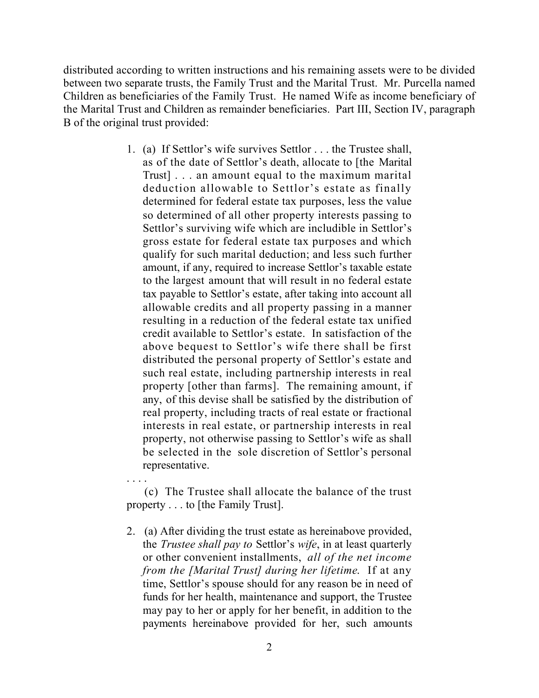distributed according to written instructions and his remaining assets were to be divided between two separate trusts, the Family Trust and the Marital Trust. Mr. Purcella named Children as beneficiaries of the Family Trust. He named Wife as income beneficiary of the Marital Trust and Children as remainder beneficiaries. Part III, Section IV, paragraph B of the original trust provided:

> 1. (a) If Settlor's wife survives Settlor . . . the Trustee shall, as of the date of Settlor's death, allocate to [the Marital Trust] . . . an amount equal to the maximum marital deduction allowable to Settlor's estate as finally determined for federal estate tax purposes, less the value so determined of all other property interests passing to Settlor's surviving wife which are includible in Settlor's gross estate for federal estate tax purposes and which qualify for such marital deduction; and less such further amount, if any, required to increase Settlor's taxable estate to the largest amount that will result in no federal estate tax payable to Settlor's estate, after taking into account all allowable credits and all property passing in a manner resulting in a reduction of the federal estate tax unified credit available to Settlor's estate. In satisfaction of the above bequest to Settlor's wife there shall be first distributed the personal property of Settlor's estate and such real estate, including partnership interests in real property [other than farms]. The remaining amount, if any, of this devise shall be satisfied by the distribution of real property, including tracts of real estate or fractional interests in real estate, or partnership interests in real property, not otherwise passing to Settlor's wife as shall be selected in the sole discretion of Settlor's personal representative.

> . . . . (c) The Trustee shall allocate the balance of the trust property . . . to [the Family Trust].

> 2. (a) After dividing the trust estate as hereinabove provided, the *Trustee shall pay to* Settlor's *wife*, in at least quarterly or other convenient installments, *all of the net income from the [Marital Trust] during her lifetime*. If at any time, Settlor's spouse should for any reason be in need of funds for her health, maintenance and support, the Trustee may pay to her or apply for her benefit, in addition to the payments hereinabove provided for her, such amounts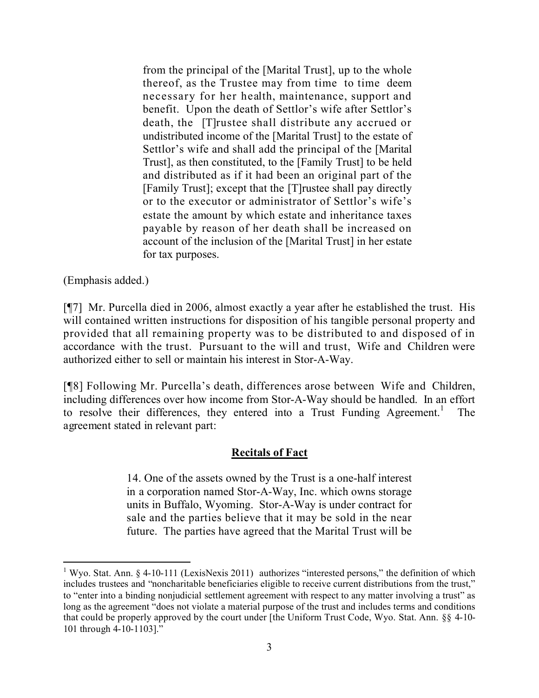from the principal of the [Marital Trust], up to the whole thereof, as the Trustee may from time to time deem necessary for her health, maintenance, support and benefit. Upon the death of Settlor's wife after Settlor's death, the [T]rustee shall distribute any accrued or undistributed income of the [Marital Trust] to the estate of Settlor's wife and shall add the principal of the [Marital Trust], as then constituted, to the [Family Trust] to be held and distributed as if it had been an original part of the [Family Trust]; except that the [T]rustee shall pay directly or to the executor or administrator of Settlor's wife's estate the amount by which estate and inheritance taxes payable by reason of her death shall be increased on account of the inclusion of the [Marital Trust] in her estate for tax purposes.

(Emphasis added.)

[¶7] Mr. Purcella died in 2006, almost exactly a year after he established the trust. His will contained written instructions for disposition of his tangible personal property and provided that all remaining property was to be distributed to and disposed of in accordance with the trust. Pursuant to the will and trust, Wife and Children were authorized either to sell or maintain his interest in Stor-A-Way.

[¶8] Following Mr. Purcella's death, differences arose between Wife and Children, including differences over how income from Stor-A-Way should be handled. In an effort to resolve their differences, they entered into a Trust Funding Agreement.<sup>1</sup> The agreement stated in relevant part:

## **Recitals of Fact**

14. One of the assets owned by the Trust is a one-half interest in a corporation named Stor-A-Way, Inc. which owns storage units in Buffalo, Wyoming. Stor-A-Way is under contract for sale and the parties believe that it may be sold in the near future. The parties have agreed that the Marital Trust will be

<sup>&</sup>lt;sup>1</sup> Wyo. Stat. Ann. § 4-10-111 (LexisNexis 2011) authorizes "interested persons," the definition of which includes trustees and "noncharitable beneficiaries eligible to receive current distributions from the trust," to "enter into a binding nonjudicial settlement agreement with respect to any matter involving a trust" as long as the agreement "does not violate a material purpose of the trust and includes terms and conditions that could be properly approved by the court under [the Uniform Trust Code, Wyo. Stat. Ann. §§ 4-10- 101 through 4-10-1103]."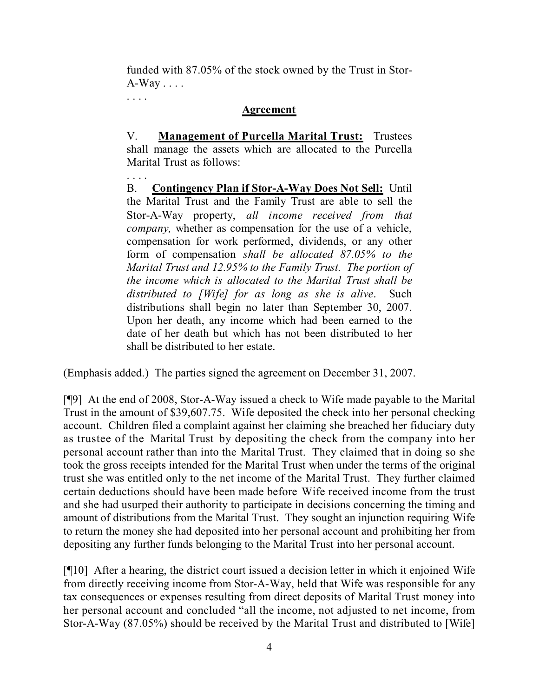funded with 87.05% of the stock owned by the Trust in Stor- $A-Way...$ 

## **Agreement**

. . . .

V. **Management of Purcella Marital Trust:** Trustees shall manage the assets which are allocated to the Purcella Marital Trust as follows:

. . . . B. **Contingency Plan if Stor-A-Way Does Not Sell:** Until the Marital Trust and the Family Trust are able to sell the Stor-A-Way property, *all income received from that company,* whether as compensation for the use of a vehicle, compensation for work performed, dividends, or any other form of compensation *shall be allocated 87.05% to the Marital Trust and 12.95% to the Family Trust. The portion of the income which is allocated to the Marital Trust shall be distributed to [Wife] for as long as she is alive*. Such distributions shall begin no later than September 30, 2007. Upon her death, any income which had been earned to the date of her death but which has not been distributed to her shall be distributed to her estate.

(Emphasis added.) The parties signed the agreement on December 31, 2007.

[¶9] At the end of 2008, Stor-A-Way issued a check to Wife made payable to the Marital Trust in the amount of \$39,607.75. Wife deposited the check into her personal checking account. Children filed a complaint against her claiming she breached her fiduciary duty as trustee of the Marital Trust by depositing the check from the company into her personal account rather than into the Marital Trust. They claimed that in doing so she took the gross receipts intended for the Marital Trust when under the terms of the original trust she was entitled only to the net income of the Marital Trust. They further claimed certain deductions should have been made before Wife received income from the trust and she had usurped their authority to participate in decisions concerning the timing and amount of distributions from the Marital Trust. They sought an injunction requiring Wife to return the money she had deposited into her personal account and prohibiting her from depositing any further funds belonging to the Marital Trust into her personal account.

[¶10] After a hearing, the district court issued a decision letter in which it enjoined Wife from directly receiving income from Stor-A-Way, held that Wife was responsible for any tax consequences or expenses resulting from direct deposits of Marital Trust money into her personal account and concluded "all the income, not adjusted to net income, from Stor-A-Way (87.05%) should be received by the Marital Trust and distributed to [Wife]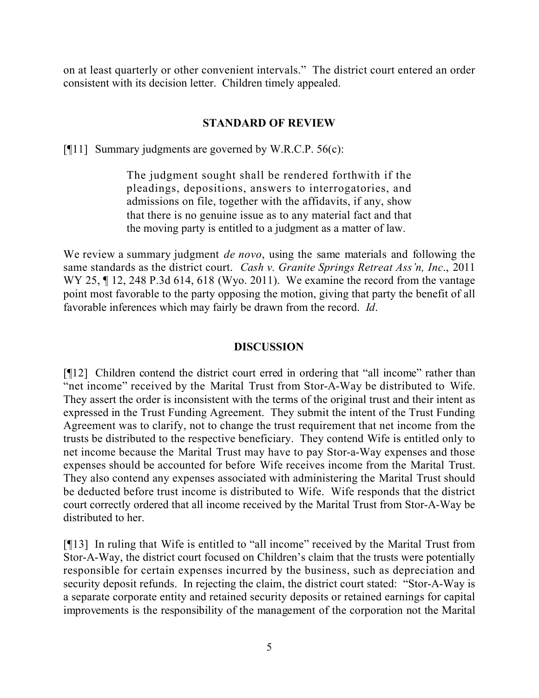on at least quarterly or other convenient intervals." The district court entered an order consistent with its decision letter. Children timely appealed.

## **STANDARD OF REVIEW**

[ $[$ [11] Summary judgments are governed by W.R.C.P. 56(c):

The judgment sought shall be rendered forthwith if the pleadings, depositions, answers to interrogatories, and admissions on file, together with the affidavits, if any, show that there is no genuine issue as to any material fact and that the moving party is entitled to a judgment as a matter of law.

We review a summary judgment *de novo*, using the same materials and following the same standards as the district court. *Cash v. Granite Springs Retreat Ass'n, Inc*., 2011 WY 25, ¶ 12, 248 P.3d 614, 618 (Wyo. 2011). We examine the record from the vantage point most favorable to the party opposing the motion, giving that party the benefit of all favorable inferences which may fairly be drawn from the record. *Id*.

### **DISCUSSION**

[¶12] Children contend the district court erred in ordering that "all income" rather than "net income" received by the Marital Trust from Stor-A-Way be distributed to Wife. They assert the order is inconsistent with the terms of the original trust and their intent as expressed in the Trust Funding Agreement. They submit the intent of the Trust Funding Agreement was to clarify, not to change the trust requirement that net income from the trusts be distributed to the respective beneficiary. They contend Wife is entitled only to net income because the Marital Trust may have to pay Stor-a-Way expenses and those expenses should be accounted for before Wife receives income from the Marital Trust. They also contend any expenses associated with administering the Marital Trust should be deducted before trust income is distributed to Wife. Wife responds that the district court correctly ordered that all income received by the Marital Trust from Stor-A-Way be distributed to her.

[¶13] In ruling that Wife is entitled to "all income" received by the Marital Trust from Stor-A-Way, the district court focused on Children's claim that the trusts were potentially responsible for certain expenses incurred by the business, such as depreciation and security deposit refunds. In rejecting the claim, the district court stated: "Stor-A-Way is a separate corporate entity and retained security deposits or retained earnings for capital improvements is the responsibility of the management of the corporation not the Marital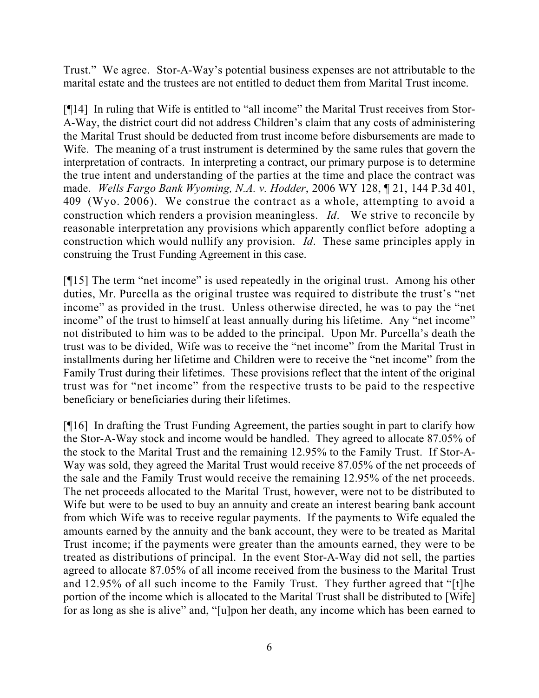Trust." We agree. Stor-A-Way's potential business expenses are not attributable to the marital estate and the trustees are not entitled to deduct them from Marital Trust income.

[¶14] In ruling that Wife is entitled to "all income" the Marital Trust receives from Stor-A-Way, the district court did not address Children's claim that any costs of administering the Marital Trust should be deducted from trust income before disbursements are made to Wife. The meaning of a trust instrument is determined by the same rules that govern the interpretation of contracts. In interpreting a contract, our primary purpose is to determine the true intent and understanding of the parties at the time and place the contract was made. *Wells Fargo Bank Wyoming, N.A. v. Hodder*, 2006 WY 128, ¶ 21, 144 P.3d 401, 409 (Wyo. 2006). We construe the contract as a whole, attempting to avoid a construction which renders a provision meaningless. *Id*. We strive to reconcile by reasonable interpretation any provisions which apparently conflict before adopting a construction which would nullify any provision. *Id*. These same principles apply in construing the Trust Funding Agreement in this case.

[¶15] The term "net income" is used repeatedly in the original trust. Among his other duties, Mr. Purcella as the original trustee was required to distribute the trust's "net income" as provided in the trust. Unless otherwise directed, he was to pay the "net income" of the trust to himself at least annually during his lifetime. Any "net income" not distributed to him was to be added to the principal. Upon Mr. Purcella's death the trust was to be divided, Wife was to receive the "net income" from the Marital Trust in installments during her lifetime and Children were to receive the "net income" from the Family Trust during their lifetimes. These provisions reflect that the intent of the original trust was for "net income" from the respective trusts to be paid to the respective beneficiary or beneficiaries during their lifetimes.

[¶16] In drafting the Trust Funding Agreement, the parties sought in part to clarify how the Stor-A-Way stock and income would be handled. They agreed to allocate 87.05% of the stock to the Marital Trust and the remaining 12.95% to the Family Trust. If Stor-A-Way was sold, they agreed the Marital Trust would receive 87.05% of the net proceeds of the sale and the Family Trust would receive the remaining 12.95% of the net proceeds. The net proceeds allocated to the Marital Trust, however, were not to be distributed to Wife but were to be used to buy an annuity and create an interest bearing bank account from which Wife was to receive regular payments. If the payments to Wife equaled the amounts earned by the annuity and the bank account, they were to be treated as Marital Trust income; if the payments were greater than the amounts earned, they were to be treated as distributions of principal. In the event Stor-A-Way did not sell, the parties agreed to allocate 87.05% of all income received from the business to the Marital Trust and 12.95% of all such income to the Family Trust. They further agreed that "[t]he portion of the income which is allocated to the Marital Trust shall be distributed to [Wife] for as long as she is alive" and, "[u]pon her death, any income which has been earned to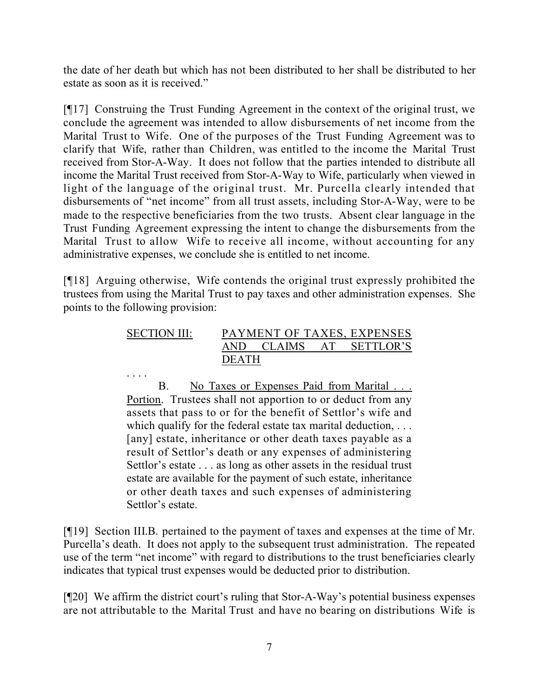the date of her death but which has not been distributed to her shall be distributed to her estate as soon as it is received."

[¶17] Construing the Trust Funding Agreement in the context of the original trust, we conclude the agreement was intended to allow disbursements of net income from the Marital Trust to Wife. One of the purposes of the Trust Funding Agreement was to clarify that Wife, rather than Children, was entitled to the income the Marital Trust received from Stor-A-Way. It does not follow that the parties intended to distribute all income the Marital Trust received from Stor-A-Way to Wife, particularly when viewed in light of the language of the original trust. Mr. Purcella clearly intended that disbursements of "net income" from all trust assets, including Stor-A-Way, were to be made to the respective beneficiaries from the two trusts. Absent clear language in the Trust Funding Agreement expressing the intent to change the disbursements from the Marital Trust to allow Wife to receive all income, without accounting for any administrative expenses, we conclude she is entitled to net income.

[¶18] Arguing otherwise, Wife contends the original trust expressly prohibited the trustees from using the Marital Trust to pay taxes and other administration expenses. She points to the following provision:

| <b>SECTION III:</b> |       |        | PAYMENT OF TAXES, EXPENSES |              |
|---------------------|-------|--------|----------------------------|--------------|
|                     | AND.  | CLAIMS |                            | AT SETTLOR'S |
|                     | DEATH |        |                            |              |

. . . .

B. No Taxes or Expenses Paid from Marital ... Portion. Trustees shall not apportion to or deduct from any assets that pass to or for the benefit of Settlor's wife and which qualify for the federal estate tax marital deduction, ... [any] estate, inheritance or other death taxes payable as a result of Settlor's death or any expenses of administering Settlor's estate . . . as long as other assets in the residual trust estate are available for the payment of such estate, inheritance or other death taxes and such expenses of administering Settlor's estate.

[¶19] Section III.B. pertained to the payment of taxes and expenses at the time of Mr. Purcella's death. It does not apply to the subsequent trust administration. The repeated use of the term "net income" with regard to distributions to the trust beneficiaries clearly indicates that typical trust expenses would be deducted prior to distribution.

[¶20] We affirm the district court's ruling that Stor-A-Way's potential business expenses are not attributable to the Marital Trust and have no bearing on distributions Wife is